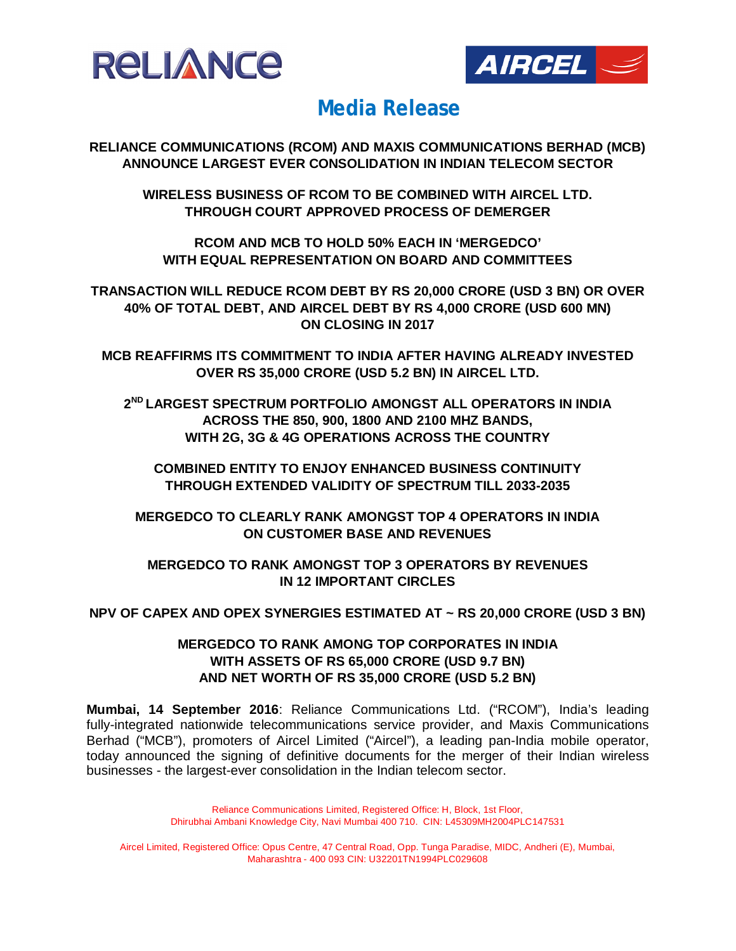



**RELIANCE COMMUNICATIONS (RCOM) AND MAXIS COMMUNICATIONS BERHAD (MCB) ANNOUNCE LARGEST EVER CONSOLIDATION IN INDIAN TELECOM SECTOR**

**WIRELESS BUSINESS OF RCOM TO BE COMBINED WITH AIRCEL LTD. THROUGH COURT APPROVED PROCESS OF DEMERGER** 

**RCOM AND MCB TO HOLD 50% EACH IN 'MERGEDCO' WITH EQUAL REPRESENTATION ON BOARD AND COMMITTEES**

**TRANSACTION WILL REDUCE RCOM DEBT BY RS 20,000 CRORE (USD 3 BN) OR OVER 40% OF TOTAL DEBT, AND AIRCEL DEBT BY RS 4,000 CRORE (USD 600 MN) ON CLOSING IN 2017**

**MCB REAFFIRMS ITS COMMITMENT TO INDIA AFTER HAVING ALREADY INVESTED OVER RS 35,000 CRORE (USD 5.2 BN) IN AIRCEL LTD.**

**2 ND LARGEST SPECTRUM PORTFOLIO AMONGST ALL OPERATORS IN INDIA ACROSS THE 850, 900, 1800 AND 2100 MHZ BANDS, WITH 2G, 3G & 4G OPERATIONS ACROSS THE COUNTRY**

**COMBINED ENTITY TO ENJOY ENHANCED BUSINESS CONTINUITY THROUGH EXTENDED VALIDITY OF SPECTRUM TILL 2033-2035**

**MERGEDCO TO CLEARLY RANK AMONGST TOP 4 OPERATORS IN INDIA ON CUSTOMER BASE AND REVENUES**

**MERGEDCO TO RANK AMONGST TOP 3 OPERATORS BY REVENUES IN 12 IMPORTANT CIRCLES**

### **NPV OF CAPEX AND OPEX SYNERGIES ESTIMATED AT ~ RS 20,000 CRORE (USD 3 BN)**

### **MERGEDCO TO RANK AMONG TOP CORPORATES IN INDIA WITH ASSETS OF RS 65,000 CRORE (USD 9.7 BN) AND NET WORTH OF RS 35,000 CRORE (USD 5.2 BN)**

**Mumbai, 14 September 2016**: Reliance Communications Ltd. ("RCOM"), India's leading fully-integrated nationwide telecommunications service provider, and Maxis Communications Berhad ("MCB"), promoters of Aircel Limited ("Aircel"), a leading pan-India mobile operator, today announced the signing of definitive documents for the merger of their Indian wireless businesses - the largest-ever consolidation in the Indian telecom sector.

> Reliance Communications Limited, Registered Office: H, Block, 1st Floor, Dhirubhai Ambani Knowledge City, Navi Mumbai 400 710. CIN: L45309MH2004PLC147531

Aircel Limited, Registered Office: Opus Centre, 47 Central Road, Opp. Tunga Paradise, MIDC, Andheri (E), Mumbai, Maharashtra - 400 093 CIN: U32201TN1994PLC029608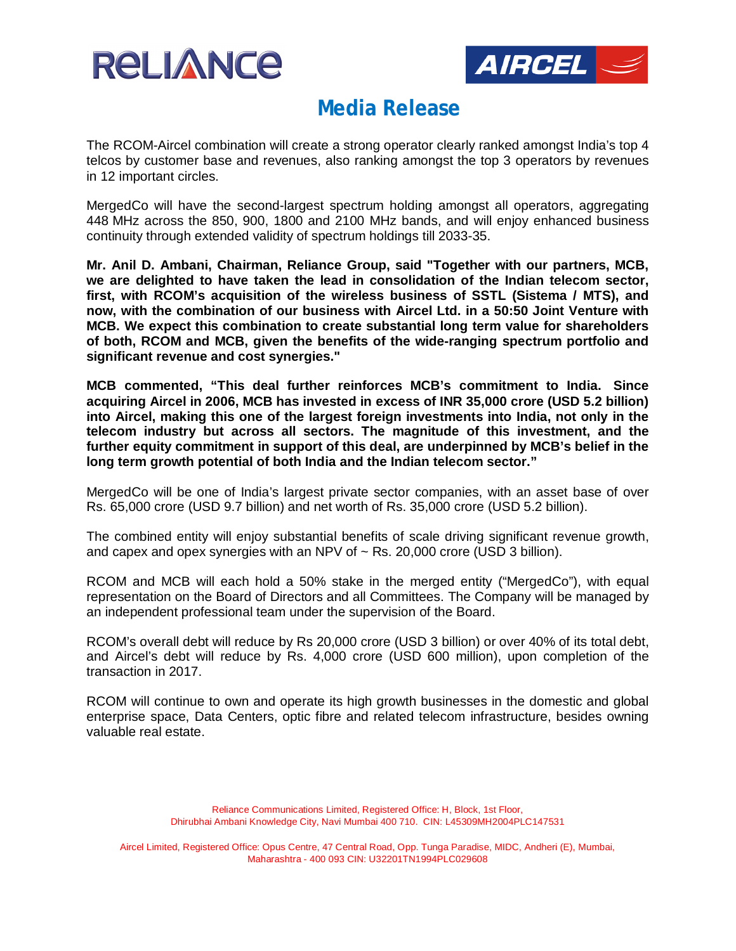



The RCOM-Aircel combination will create a strong operator clearly ranked amongst India's top 4 telcos by customer base and revenues, also ranking amongst the top 3 operators by revenues in 12 important circles.

MergedCo will have the second-largest spectrum holding amongst all operators, aggregating 448 MHz across the 850, 900, 1800 and 2100 MHz bands, and will enjoy enhanced business continuity through extended validity of spectrum holdings till 2033-35.

**Mr. Anil D. Ambani, Chairman, Reliance Group, said "Together with our partners, MCB, we are delighted to have taken the lead in consolidation of the Indian telecom sector, first, with RCOM's acquisition of the wireless business of SSTL (Sistema / MTS), and now, with the combination of our business with Aircel Ltd. in a 50:50 Joint Venture with MCB. We expect this combination to create substantial long term value for shareholders of both, RCOM and MCB, given the benefits of the wide-ranging spectrum portfolio and significant revenue and cost synergies."**

**MCB commented, "This deal further reinforces MCB's commitment to India. Since acquiring Aircel in 2006, MCB has invested in excess of INR 35,000 crore (USD 5.2 billion) into Aircel, making this one of the largest foreign investments into India, not only in the telecom industry but across all sectors. The magnitude of this investment, and the further equity commitment in support of this deal, are underpinned by MCB's belief in the long term growth potential of both India and the Indian telecom sector."**

MergedCo will be one of India's largest private sector companies, with an asset base of over Rs. 65,000 crore (USD 9.7 billion) and net worth of Rs. 35,000 crore (USD 5.2 billion).

The combined entity will enjoy substantial benefits of scale driving significant revenue growth, and capex and opex synergies with an NPV of  $\sim$  Rs. 20,000 crore (USD 3 billion).

RCOM and MCB will each hold a 50% stake in the merged entity ("MergedCo"), with equal representation on the Board of Directors and all Committees. The Company will be managed by an independent professional team under the supervision of the Board.

RCOM's overall debt will reduce by Rs 20,000 crore (USD 3 billion) or over 40% of its total debt, and Aircel's debt will reduce by Rs. 4,000 crore (USD 600 million), upon completion of the transaction in 2017.

RCOM will continue to own and operate its high growth businesses in the domestic and global enterprise space, Data Centers, optic fibre and related telecom infrastructure, besides owning valuable real estate.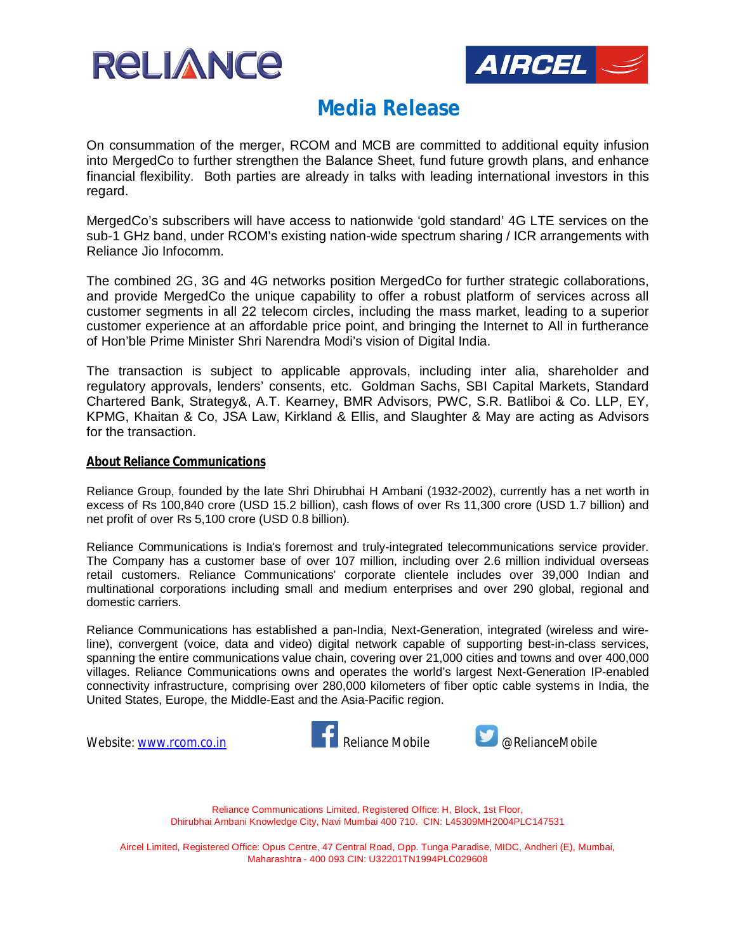



On consummation of the merger, RCOM and MCB are committed to additional equity infusion into MergedCo to further strengthen the Balance Sheet, fund future growth plans, and enhance financial flexibility. Both parties are already in talks with leading international investors in this regard.

MergedCo's subscribers will have access to nationwide 'gold standard' 4G LTE services on the sub-1 GHz band, under RCOM's existing nation-wide spectrum sharing / ICR arrangements with Reliance Jio Infocomm.

The combined 2G, 3G and 4G networks position MergedCo for further strategic collaborations, and provide MergedCo the unique capability to offer a robust platform of services across all customer segments in all 22 telecom circles, including the mass market, leading to a superior customer experience at an affordable price point, and bringing the Internet to All in furtherance of Hon'ble Prime Minister Shri Narendra Modi's vision of Digital India.

The transaction is subject to applicable approvals, including inter alia, shareholder and regulatory approvals, lenders' consents, etc. Goldman Sachs, SBI Capital Markets, Standard Chartered Bank, Strategy&, A.T. Kearney, BMR Advisors, PWC, S.R. Batliboi & Co. LLP, EY, KPMG, Khaitan & Co, JSA Law, Kirkland & Ellis, and Slaughter & May are acting as Advisors for the transaction.

#### **About Reliance Communications**

Reliance Group, founded by the late Shri Dhirubhai H Ambani (1932-2002), currently has a net worth in excess of Rs 100,840 crore (USD 15.2 billion), cash flows of over Rs 11,300 crore (USD 1.7 billion) and net profit of over Rs 5,100 crore (USD 0.8 billion).

Reliance Communications is India's foremost and truly-integrated telecommunications service provider. The Company has a customer base of over 107 million, including over 2.6 million individual overseas retail customers. Reliance Communications' corporate clientele includes over 39,000 Indian and multinational corporations including small and medium enterprises and over 290 global, regional and domestic carriers.

Reliance Communications has established a pan-India, Next-Generation, integrated (wireless and wireline), convergent (voice, data and video) digital network capable of supporting best-in-class services, spanning the entire communications value chain, covering over 21,000 cities and towns and over 400,000 villages. Reliance Communications owns and operates the world's largest Next-Generation IP-enabled connectivity infrastructure, comprising over 280,000 kilometers of fiber optic cable systems in India, the United States, Europe, the Middle-East and the Asia-Pacific region.





Reliance Communications Limited, Registered Office: H, Block, 1st Floor, Dhirubhai Ambani Knowledge City, Navi Mumbai 400 710. CIN: L45309MH2004PLC147531

Aircel Limited, Registered Office: Opus Centre, 47 Central Road, Opp. Tunga Paradise, MIDC, Andheri (E), Mumbai, Maharashtra - 400 093 CIN: U32201TN1994PLC029608